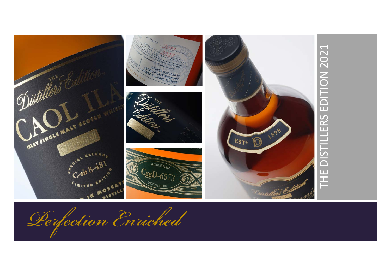

*Perfection Enriched*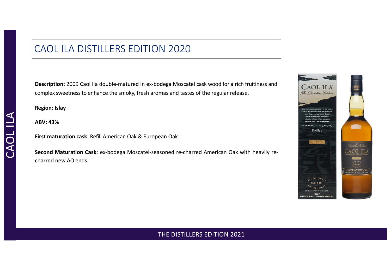# CAOL ILA DISTILLERS EDITION 2020

**Description:** 2009 Caol Ila double-matured in ex-bodega Moscatel cask wood for a rich fruitiness and complex sweetnessto enhance the smoky, fresh aromas and tastes of the regular release.

**Region: Islay**

**ABV: 43%**

**First maturation cask**: Refill American Oak & European Oak

**Second Maturation Cask**: ex-bodega Moscatel-seasoned re-charred American Oak with heavily recharred new AO ends.

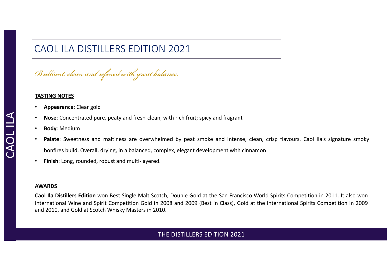# CAOL ILA DISTILLERS EDITION 2021

*Brilliant, clean and refined with great balance.*

#### **TASTING NOTES**

- **Appearance**: Clear gold
- **Nose**: Concentrated pure, peaty and fresh-clean, with rich fruit; spicy and fragrant
- **Body**: Medium
- **Palate**: Sweetness and maltiness are overwhelmed by peat smoke and intense, clean, crisp flavours. Caol Ila's signature smoky bonfires build. Overall, drying, in a balanced, complex, elegant development with cinnamon
- **Finish**: Long, rounded, robust and multi-layered.

#### **AWARDS**

**Caol Ila Distillers Edition** won Best Single Malt Scotch, Double Gold at the San Francisco World Spirits Competition in 2011. It also won International Wine and Spirit Competition Gold in 2008 and 2009 (Best in Class), Gold at the International Spirits Competition in 2009 and 2010, and Gold at Scotch Whisky Masters in 2010.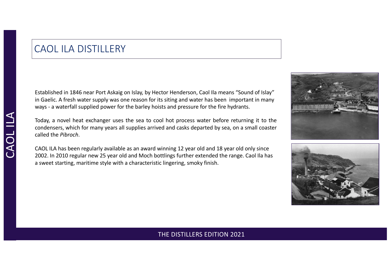## CAOL ILA DISTILLERY

Established in 1846 near Port Askaig on Islay, by Hector Henderson, Caol Ila means "Sound of Islay" in Gaelic. A fresh water supply was one reason for its siting and water has been important in many ways - a waterfall supplied power for the barley hoists and pressure for the fire hydrants.

Today, a novel heat exchanger uses the sea to cool hot process water before returning it to the condensers, which for many years all supplies arrived and casks departed by sea, on a small coaster called the *Pibroch*.

CAOL ILA has been regularly available as an award winning 12 year old and 18 year old only since 2002. In 2010 regular new 25 year old and Moch bottlings further extended the range. Caol Ila has a sweet starting, maritime style with a characteristic lingering, smoky finish.



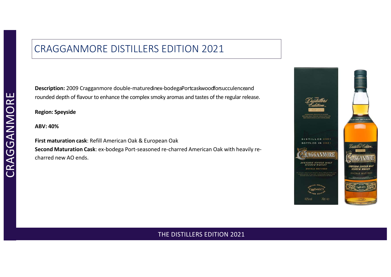# CRAGGANMORE DISTILLERS EDITION 2021

**Description:** 2009 Cragganmore double-maturedinex-bodegaPortcaskwoodforsucculenceand rounded depth of flavour to enhance the complex smoky aromas and tastes of the regular release.

**Region: Speyside**

**ABV: 40%**

**First maturation cask**: Refill American Oak & European Oak **Second Maturation Cask**: ex-bodega Port-seasoned re-charred American Oak with heavily recharred new AO ends.

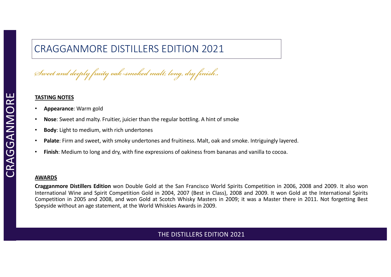# CRAGGANMORE DISTILLERS EDITION 2021

*Sweet and deeply fruity oak-smoked malt; long, dry finish..*

#### **TASTING NOTES**

- **Appearance**: Warm gold
- **Nose**: Sweet and malty. Fruitier, juicier than the regular bottling. A hint of smoke
- **Body**: Light to medium, with rich undertones
- **Palate**: Firm and sweet, with smoky undertones and fruitiness. Malt, oak and smoke. Intriguingly layered.
- **Finish**: Medium to long and dry, with fine expressions of oakiness from bananas and vanilla to cocoa.

#### **AWARDS**

**Cragganmore Distillers Edition** won Double Gold at the San Francisco World Spirits Competition in 2006, 2008 and 2009. It also won International Wine and Spirit Competition Gold in 2004, 2007 (Best in Class), 2008 and 2009. It won Gold at the International Spirits Competition in 2005 and 2008, and won Gold at Scotch Whisky Masters in 2009; it was a Master there in 2011. Not forgetting Best Speyside without an age statement, at the World Whiskies Awards in 2009.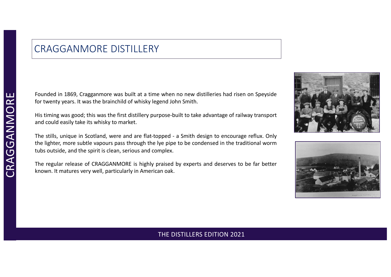## CRAGGANMORE DISTILLERY

Founded in 1869, Cragganmore was built at a time when no new distilleries had risen on Speyside for twenty years. It was the brainchild of whisky legend John Smith.

His timing was good; this was the first distillery purpose-built to take advantage of railway transport and could easily take its whisky to market.

The stills, unique in Scotland, were and are flat-topped - a Smith design to encourage reflux. Only the lighter, more subtle vapours pass through the lye pipe to be condensed in the traditional worm tubs outside, and the spirit is clean, serious and complex.

The regular release of CRAGGANMORE is highly praised by experts and deserves to be far better known. It matures very well, particularly in American oak.



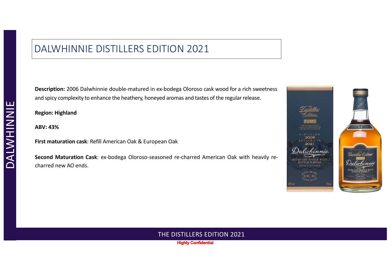## DALWHINNIE DISTILLERS EDITION 2021

**Description:** 2006 Dalwhinnie double-matured in ex-bodega Oloroso cask wood for a rich sweetness and spicy complexity to enhance the heathery, honeyed aromas and tastes of the regular release.

**Region: Highland**

**ABV: 43%**

**First maturation cask**: Refill American Oak & European Oak

**Second Maturation Cask**: ex-bodega Oloroso-seasoned re-charred American Oak with heavily recharred new AO ends.



#### THE DISTILLERS EDITION 2021

**Highly Confidential**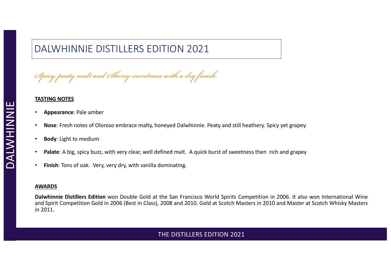# DALWHINNIE DISTILLERS EDITION 2021

*Spicy, peaty malt and Sherry-sweetness with a dry finish.*

#### **TASTING NOTES**

- **Appearance**: Pale amber
- **Nose**: Fresh notes of Oloroso embrace malty, honeyed Dalwhinnie. Peaty and still heathery. Spicy yet grapey.
- **Body**: Light to medium
- **Palate**: A big, spicy buzz, with very clear, well defined malt. A quick burst of sweetness then rich and grapey
- **Finish**: Tons of oak. Very, very dry, with vanilla dominating.

#### **AWARDS**

**Dalwhinnie Distillers Edition** won Double Gold at the San Francisco World Spirits Competition in 2006. It also won International Wine and Spirit Competition Gold in 2006 (Best in Class), 2008 and 2010. Gold at Scotch Masters in 2010 and Master at Scotch Whisky Masters in 2011.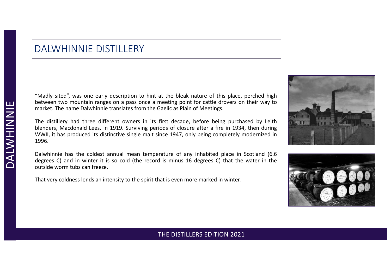## DALWHINNIE DISTILLERY

"Madly sited", was one early description to hint at the bleak nature of this place, perched high between two mountain ranges on a pass once a meeting point for cattle drovers on their way to market. The name Dalwhinnie translates from the Gaelic as Plain of Meetings.

The distillery had three different owners in its first decade, before being purchased by Leith blenders, Macdonald Lees, in 1919. Surviving periods of closure after a fire in 1934, then during WWII, it has produced its distinctive single malt since 1947, only being completely modernized in 1996.

Dalwhinnie has the coldest annual mean temperature of any inhabited place in Scotland (6.6 degrees C) and in winter it is so cold (the record is minus 16 degrees C) that the water in the outside worm tubs can freeze.

That very coldness lends an intensity to the spirit that is even more marked in winter.



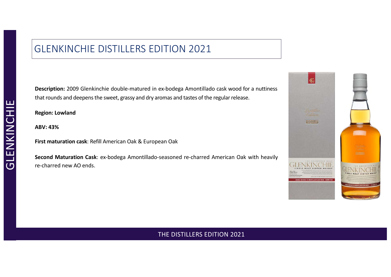# GLENKINCHIE DISTILLERS EDITION 2021

**Description:** 2009 Glenkinchie double-matured in ex-bodega Amontillado cask wood for a nuttiness that rounds and deepens the sweet, grassy and dry aromas and tastes of the regular release.

**Region: Lowland**

**ABV: 43%**

**First maturation cask**: Refill American Oak & European Oak

**Second Maturation Cask**: ex-bodega Amontillado-seasoned re-charred American Oak with heavily re-charred new AO ends.

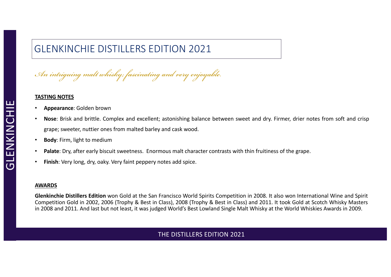# GLENKINCHIE DISTILLERS EDITION 2021

*An intriguing malt whisky; fascinating and very enjoyable.*

#### **TASTING NOTES**

- **Appearance**: Golden brown
- **Nose**: Brisk and brittle. Complex and excellent; astonishing balance between sweet and dry. Firmer, drier notes from soft and crisp grape; sweeter, nuttier ones from malted barley and cask wood.
- **Body**: Firm, light to medium
- **Palate**: Dry, after early biscuit sweetness. Enormous malt character contrasts with thin fruitiness of the grape.
- **Finish**: Very long, dry, oaky. Very faint peppery notes add spice.

#### **AWARDS**

**Glenkinchie Distillers Edition** won Gold at the San Francisco World Spirits Competition in 2008. It also won International Wine and Spirit Competition Gold in 2002, 2006 (Trophy & Best in Class), 2008 (Trophy & Best in Class) and 2011. It took Gold at Scotch Whisky Masters in 2008 and 2011. And last but not least, it was judged World's Best Lowland Single Malt Whisky at the World Whiskies Awards in 2009.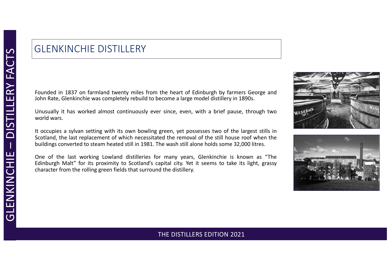# GLENKINCHIE DISTILLERY

Founded in 1837 on farmland twenty miles from the heart of Edinburgh by farmers George and John Rate, Glenkinchie was completely rebuild to become a large model distillery in 1890s.

Unusually it has worked almost continuously ever since, even, with a brief pause, through two world wars.

It occupies a sylvan setting with its own bowling green, yet possesses two of the largest stills in Scotland, the last replacement of which necessitated the removal of the still house roof when the buildings converted to steam heated still in 1981. The wash still alone holds some 32,000 litres.

One of the last working Lowland distilleries for many years, Glenkinchie is known as "The Edinburgh Malt" for its proximity to Scotland's capital city. Yet it seems to take its light, grassy character from the rolling green fields that surround the distillery.



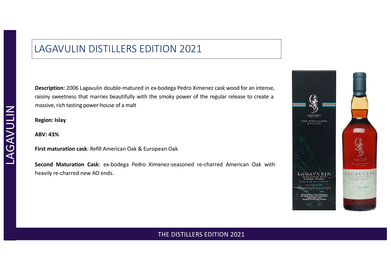## LAGAVULIN DISTILLERS EDITION 2021

**Description:** 2006 Lagavulin double-matured in ex-bodega Pedro Ximenez cask wood for an intense, raisiny sweetness that marries beautifully with the smoky power of the regular release to create a massive, rich tasting power-house of a malt

**Region: Islay**

**ABV: 43%**

**First maturation cask**: Refill American Oak & European Oak

**Second Maturation Cask**: ex-bodega Pedro Ximenez-seasoned re-charred American Oak with heavily re-charred new AO ends.

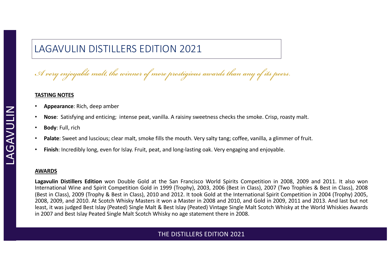# LAGAVULIN DISTILLERS EDITION 2021

*A very enjoyable malt, the winner of more prestigious awards than any of its peers.*

#### **TASTING NOTES**

- **Appearance**: Rich, deep amber
- **Nose**: Satisfying and enticing; intense peat, vanilla. A raisiny sweetness checks the smoke. Crisp, roasty malt.
- **Body**: Full, rich
- **Palate**: Sweet and luscious; clear malt, smoke fills the mouth. Very salty tang; coffee, vanilla, a glimmer of fruit.
- **Finish**: Incredibly long, even for Islay. Fruit, peat, and long-lasting oak. Very engaging and enjoyable.

#### **AWARDS**

**Lagavulin Distillers Edition** won Double Gold at the San Francisco World Spirits Competition in 2008, 2009 and 2011. It also won International Wine and Spirit Competition Gold in 1999 (Trophy), 2003, 2006 (Best in Class), 2007 (Two Trophies & Best in Class), 2008 (Best in Class), 2009 (Trophy & Best in Class), 2010 and 2012. It took Gold at the International Spirit Competition in 2004 (Trophy) 2005, 2008, 2009, and 2010. At Scotch Whisky Masters it won a Master in 2008 and 2010, and Gold in 2009, 2011 and 2013. And last but not least, it was judged Best Islay (Peated) Single Malt & Best Islay (Peated) Vintage Single Malt Scotch Whisky at the World Whiskies Awards in 2007 and Best Islay Peated Single Malt Scotch Whisky no age statement there in 2008.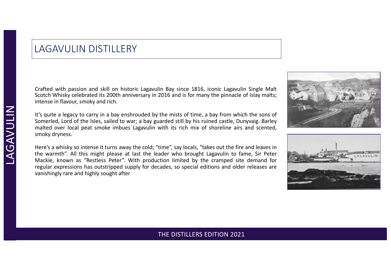## LAGAVULIN DISTILLERY

Crafted with passion and skill on historic Lagavulin Bay since 1816, iconic Lagavulin Single Malt Scotch Whisky celebrated its 200th anniversary in 2016 and is for many the pinnacle of Islay malts; intense in flavour, smoky and rich.

It's quite a legacy to carry in a bay enshrouded by the mists of time, a bay from which the sons of Somerled, Lord of the Isles, sailed to war; a bay guarded still by his ruined castle, Dunyvaig. Barley malted over local peat smoke imbues Lagavulin with its rich mix of shoreline airs and scented, smoky dryness.

Here's a whisky so intense it turns away the cold; "time", say locals, "takes out the fire and leaves in the warmth". All this might please at last the leader who brought Lagavulin to fame, Sir Peter Mackie, known as "Restless Peter". With production limited by the cramped site demand for regular expressions has outstripped supply for decades, so special editions and older releases are vanishingly rare and highly sought after



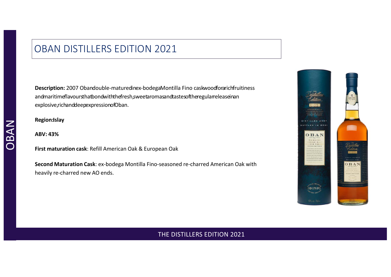## OBAN DISTILLERS EDITION 2021

**Description:** 2007 Obandouble-maturedinex-bodegaMontilla Fino caskwoodforarichfruitiness andmaritimeflavoursthatbondwiththefresh,sweetaromasandtastesoftheregularreleaseinan explosive,richanddeepexpressionofOban.

**Region:Islay**

**First maturation cask**: Refill American Oak & European Oak

**Second Maturation Cask**: ex-bodega Montilla Fino-seasoned re-charred American Oak with heavily re-charred new AO ends.

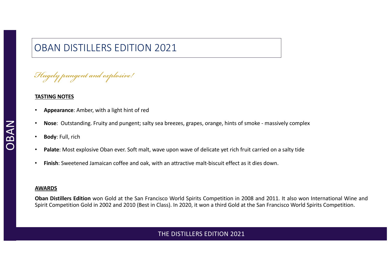# OBAN DISTILLERS EDITION 2021

*Hugely pungent and explosive!*

#### **TASTING NOTES**

- **Appearance**: Amber, with a light hint of red
- **Nose**: Outstanding. Fruity and pungent; salty sea breezes, grapes, orange, hints of smoke massively complex
- **Body**: Full, rich
- **Palate**: Most explosive Oban ever. Soft malt, wave upon wave of delicate yet rich fruit carried on a salty tide
- **Finish**: Sweetened Jamaican coffee and oak, with an attractive malt-biscuit effect as it dies down.

#### **AWARDS**

**Oban Distillers Edition** won Gold at the San Francisco World Spirits Competition in 2008 and 2011. It also won International Wine and Spirit Competition Gold in 2002 and 2010 (Best in Class). In 2020, it won a third Gold at the San Francisco World Spirits Competition.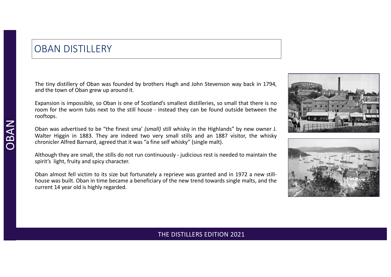## OBAN DISTILLERY

The tiny distillery of Oban was founded by brothers Hugh and John Stevenson way back in 1794, and the town of Oban grew up around it.

Expansion is impossible, so Oban is one of Scotland's smallest distilleries, so small that there is no room for the worm tubs next to the still house - instead they can be found outside between the rooftops.

Oban was advertised to be "the finest sma' *(small)* still whisky in the Highlands" by new owner J. Walter Higgin in 1883. They are indeed two very small stills and an 1887 visitor, the whisky chronicler Alfred Barnard, agreed that it was "a fine self whisky" (single malt).

Although they are small, the stills do not run continuously - judicious rest is needed to maintain the spirit's light, fruity and spicy character.

Oban almost fell victim to its size but fortunately a reprieve was granted and in 1972 a new stillhouse was built. Oban in time became a beneficiary of the new trend towards single malts, and the current 14 year old is highly regarded.



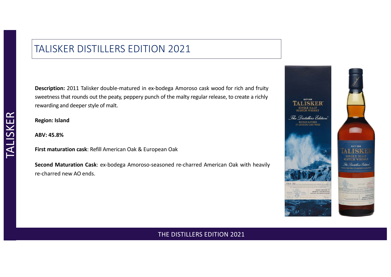## TALISKER DISTILLERS EDITION 2021

**Description:** 2011 Talisker double-matured in ex-bodega Amoroso cask wood for rich and fruity sweetness that rounds out the peaty, peppery punch of the malty regular release, to create a richly rewarding and deeper style of malt.

**Region: Island**

**ABV: 45.8%**

**First maturation cask**: Refill American Oak & European Oak

**Second Maturation Cask**: ex-bodega Amoroso-seasoned re-charred American Oak with heavily re-charred new AO ends.

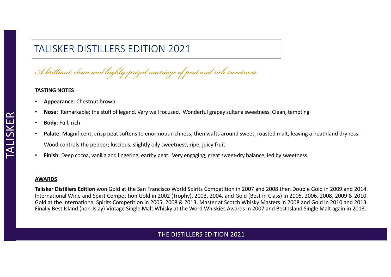# TALISKER DISTILLERS EDITION 2021

*A brilliant, clean and highly-prized marriage of peat and rich sweetness.*

#### **TASTING NOTES**

- **Appearance**: Chestnut brown
- **Nose**: Remarkable; the stuff of legend. Very well focused. Wonderful grapey sultana sweetness. Clean, tempting
- **Body**: Full, rich
- Palate: Magnificent; crisp peat softens to enormous richness, then wafts around sweet, roasted malt, leaving a heathland dryness. Wood controls the pepper; luscious, slightly oily sweetness; ripe, juicy fruit
- **Finish**: Deep cocoa, vanilla and lingering, earthy peat. Very engaging; great sweet-dry balance, led by sweetness.

#### **AWARDS**

**Talisker Distillers Edition** won Gold at the San Francisco World Spirits Competition in 2007 and 2008 then Double Gold in 2009 and 2014. International Wine and Spirit Competition Gold in 2002 (Trophy), 2003, 2004, and Gold (Best in Class) in 2005, 2006, 2008, 2009 & 2010. Gold at the International Spirits Competition in 2005, 2008 & 2013. Master at Scotch Whisky Masters in 2008 and Gold in 2010 and 2013. Finally Best Island (non-Islay) Vintage Single Malt Whisky at the Word Whiskies Awards in 2007 and Best Island Single Malt again in 2013.